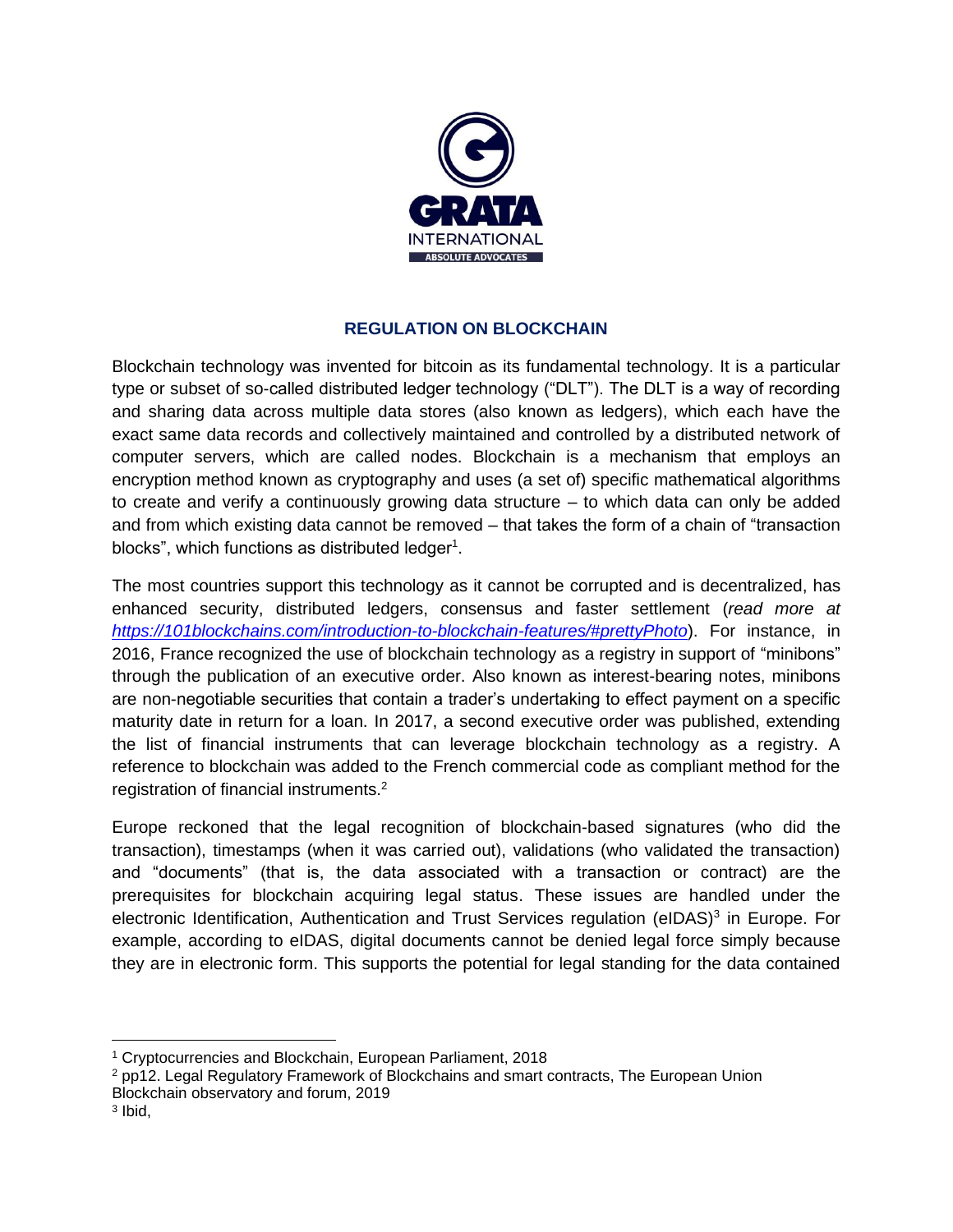

## **REGULATION ON BLOCKCHAIN**

Blockchain technology was invented for bitcoin as its fundamental technology. It is a particular type or subset of so-called distributed ledger technology ("DLT"). The DLT is a way of recording and sharing data across multiple data stores (also known as ledgers), which each have the exact same data records and collectively maintained and controlled by a distributed network of computer servers, which are called nodes. Blockchain is a mechanism that employs an encryption method known as cryptography and uses (a set of) specific mathematical algorithms to create and verify a continuously growing data structure – to which data can only be added and from which existing data cannot be removed – that takes the form of a chain of "transaction blocks", which functions as distributed ledger<sup>1</sup>.

The most countries support this technology as it cannot be corrupted and is decentralized, has enhanced security, distributed ledgers, consensus and faster settlement (*read more at <https://101blockchains.com/introduction-to-blockchain-features/#prettyPhoto>*). For instance, in 2016, France recognized the use of blockchain technology as a registry in support of "minibons" through the publication of an executive order. Also known as interest-bearing notes, minibons are non-negotiable securities that contain a trader's undertaking to effect payment on a specific maturity date in return for a loan. In 2017, a second executive order was published, extending the list of financial instruments that can leverage blockchain technology as a registry. A reference to blockchain was added to the French commercial code as compliant method for the registration of financial instruments.<sup>2</sup>

Europe reckoned that the legal recognition of blockchain-based signatures (who did the transaction), timestamps (when it was carried out), validations (who validated the transaction) and "documents" (that is, the data associated with a transaction or contract) are the prerequisites for blockchain acquiring legal status. These issues are handled under the electronic Identification, Authentication and Trust Services regulation (eIDAS)<sup>3</sup> in Europe. For example, according to eIDAS, digital documents cannot be denied legal force simply because they are in electronic form. This supports the potential for legal standing for the data contained

<sup>1</sup> Cryptocurrencies and Blockchain, European Parliament, 2018

<sup>&</sup>lt;sup>2</sup> pp12. Legal Regulatory Framework of Blockchains and smart contracts, The European Union Blockchain observatory and forum, 2019

<sup>3</sup> Ibid,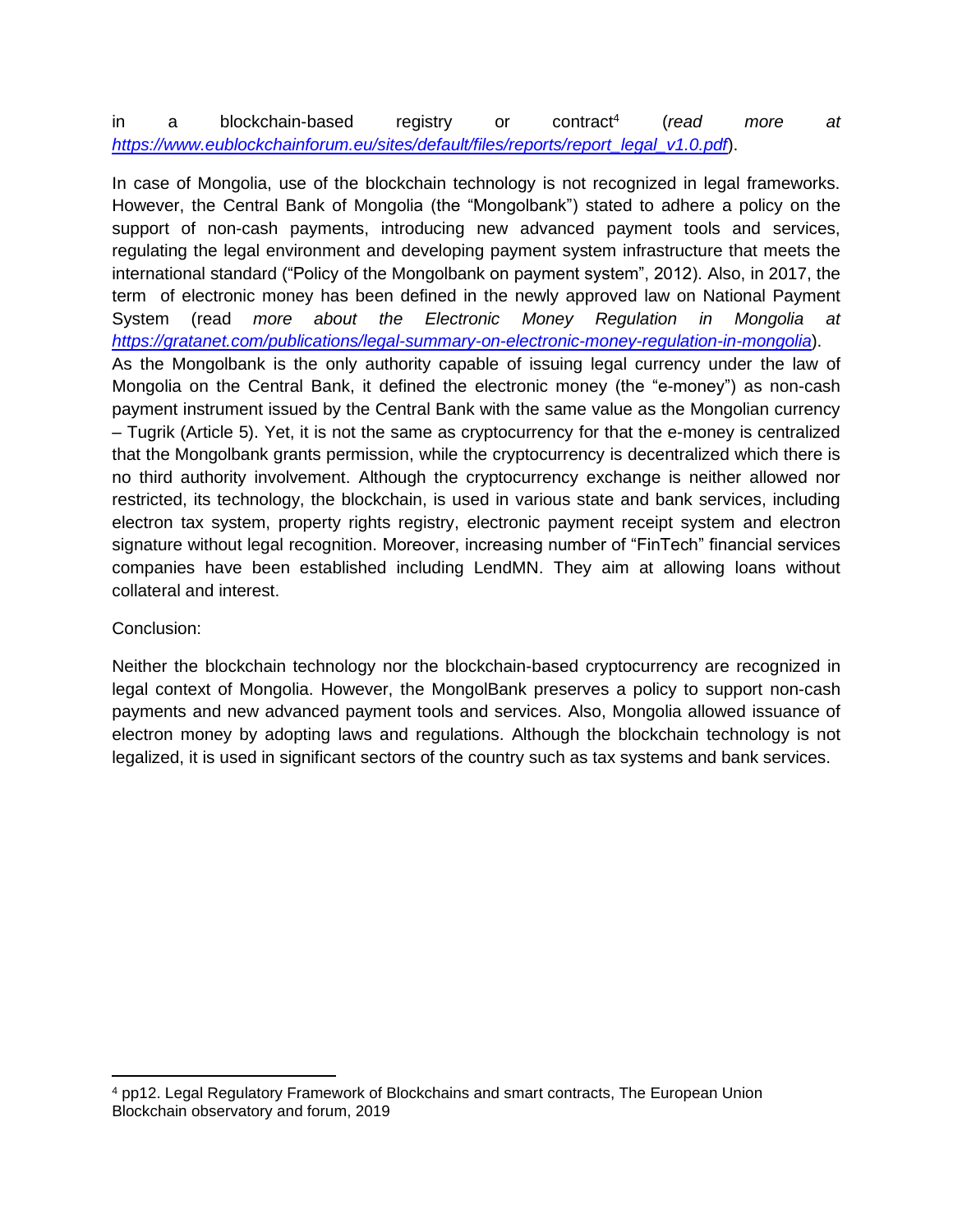## in a blockchain-based registry or contract<sup>4</sup> (*read more at [https://www.eublockchainforum.eu/sites/default/files/reports/report\\_legal\\_v1.0.pdf](https://www.eublockchainforum.eu/sites/default/files/reports/report_legal_v1.0.pdf)*).

In case of Mongolia, use of the blockchain technology is not recognized in legal frameworks. However, the Central Bank of Mongolia (the "Mongolbank") stated to adhere a policy on the support of non-cash payments, introducing new advanced payment tools and services, regulating the legal environment and developing payment system infrastructure that meets the international standard ("Policy of the Mongolbank on payment system", 2012). Also, in 2017, the term of electronic money has been defined in the newly approved law on National Payment System (read *more about the Electronic Money Regulation in Mongolia at <https://gratanet.com/publications/legal-summary-on-electronic-money-regulation-in-mongolia>*). As the Mongolbank is the only authority capable of issuing legal currency under the law of Mongolia on the Central Bank, it defined the electronic money (the "e-money") as non-cash payment instrument issued by the Central Bank with the same value as the Mongolian currency – Tugrik (Article 5). Yet, it is not the same as cryptocurrency for that the e-money is centralized that the Mongolbank grants permission, while the cryptocurrency is decentralized which there is no third authority involvement. Although the cryptocurrency exchange is neither allowed nor restricted, its technology, the blockchain, is used in various state and bank services, including electron tax system, property rights registry, electronic payment receipt system and electron signature without legal recognition. Moreover, increasing number of "FinTech" financial services companies have been established including LendMN. They aim at allowing loans without collateral and interest.

## Conclusion:

Neither the blockchain technology nor the blockchain-based cryptocurrency are recognized in legal context of Mongolia. However, the MongolBank preserves a policy to support non-cash payments and new advanced payment tools and services. Also, Mongolia allowed issuance of electron money by adopting laws and regulations. Although the blockchain technology is not legalized, it is used in significant sectors of the country such as tax systems and bank services.

<sup>4</sup> pp12. Legal Regulatory Framework of Blockchains and smart contracts, The European Union Blockchain observatory and forum, 2019